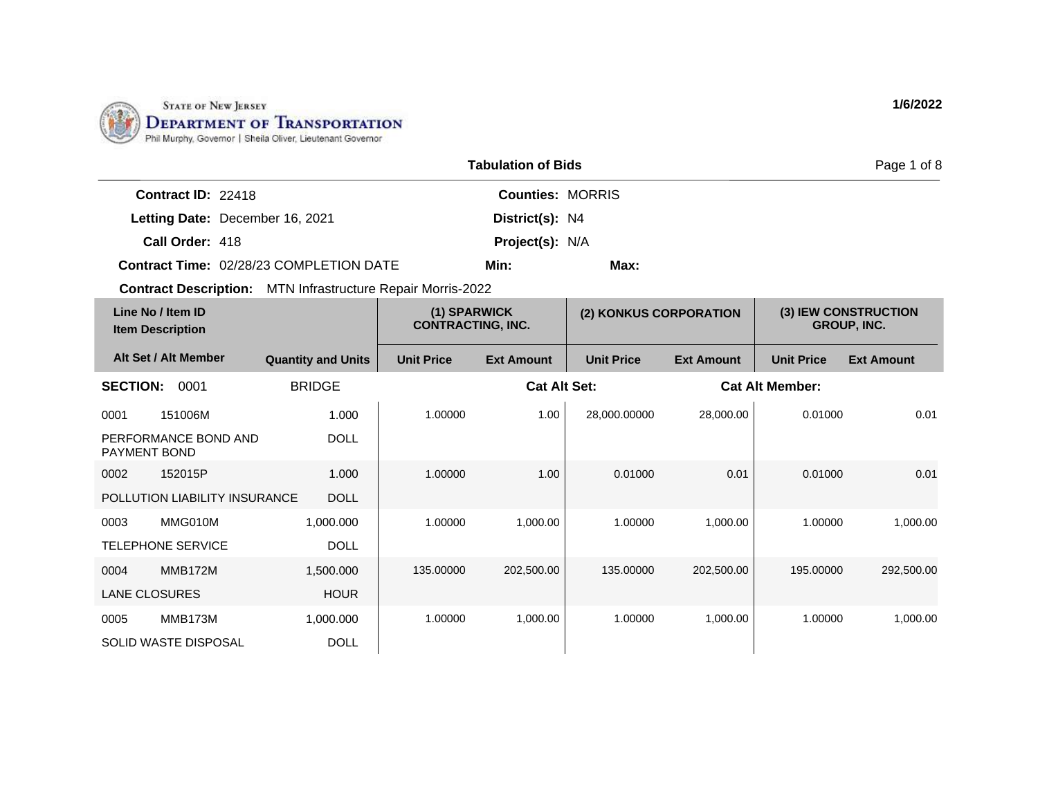

|                           |                                         | Page 1 of 8             |      |  |
|---------------------------|-----------------------------------------|-------------------------|------|--|
| <b>Contract ID: 22418</b> |                                         | <b>Counties: MORRIS</b> |      |  |
|                           | Letting Date: December 16, 2021         | District(s): N4         |      |  |
| Call Order: 418           |                                         | <b>Project(s): N/A</b>  |      |  |
|                           | Contract Time: 02/28/23 COMPLETION DATE | Min:                    | Max: |  |

| Line No / Item ID<br><b>Item Description</b> |                               | (1) SPARWICK<br><b>CONTRACTING, INC.</b> |                   | (2) KONKUS CORPORATION |                   | (3) IEW CONSTRUCTION<br><b>GROUP, INC.</b> |                        |                   |
|----------------------------------------------|-------------------------------|------------------------------------------|-------------------|------------------------|-------------------|--------------------------------------------|------------------------|-------------------|
|                                              | Alt Set / Alt Member          | <b>Quantity and Units</b>                | <b>Unit Price</b> | <b>Ext Amount</b>      | <b>Unit Price</b> | <b>Ext Amount</b>                          | <b>Unit Price</b>      | <b>Ext Amount</b> |
| <b>SECTION:</b>                              | 0001                          | <b>BRIDGE</b>                            |                   | <b>Cat Alt Set:</b>    |                   |                                            | <b>Cat Alt Member:</b> |                   |
| 0001                                         | 151006M                       | 1.000                                    | 1.00000           | 1.00                   | 28,000.00000      | 28,000.00                                  | 0.01000                | 0.01              |
| <b>PAYMENT BOND</b>                          | PERFORMANCE BOND AND          | <b>DOLL</b>                              |                   |                        |                   |                                            |                        |                   |
| 0002                                         | 152015P                       | 1.000                                    | 1.00000           | 1.00                   | 0.01000           | 0.01                                       | 0.01000                | 0.01              |
|                                              | POLLUTION LIABILITY INSURANCE | <b>DOLL</b>                              |                   |                        |                   |                                            |                        |                   |
| 0003                                         | MMG010M                       | 1,000.000                                | 1.00000           | 1,000.00               | 1.00000           | 1,000.00                                   | 1.00000                | 1,000.00          |
|                                              | <b>TELEPHONE SERVICE</b>      | <b>DOLL</b>                              |                   |                        |                   |                                            |                        |                   |
| 0004                                         | <b>MMB172M</b>                | 1,500.000                                | 135.00000         | 202,500.00             | 135.00000         | 202,500.00                                 | 195.00000              | 292,500.00        |
| <b>LANE CLOSURES</b>                         |                               | <b>HOUR</b>                              |                   |                        |                   |                                            |                        |                   |
| 0005                                         | MMB173M                       | 1,000.000                                | 1.00000           | 1,000.00               | 1.00000           | 1,000.00                                   | 1.00000                | 1,000.00          |
|                                              | SOLID WASTE DISPOSAL          | <b>DOLL</b>                              |                   |                        |                   |                                            |                        |                   |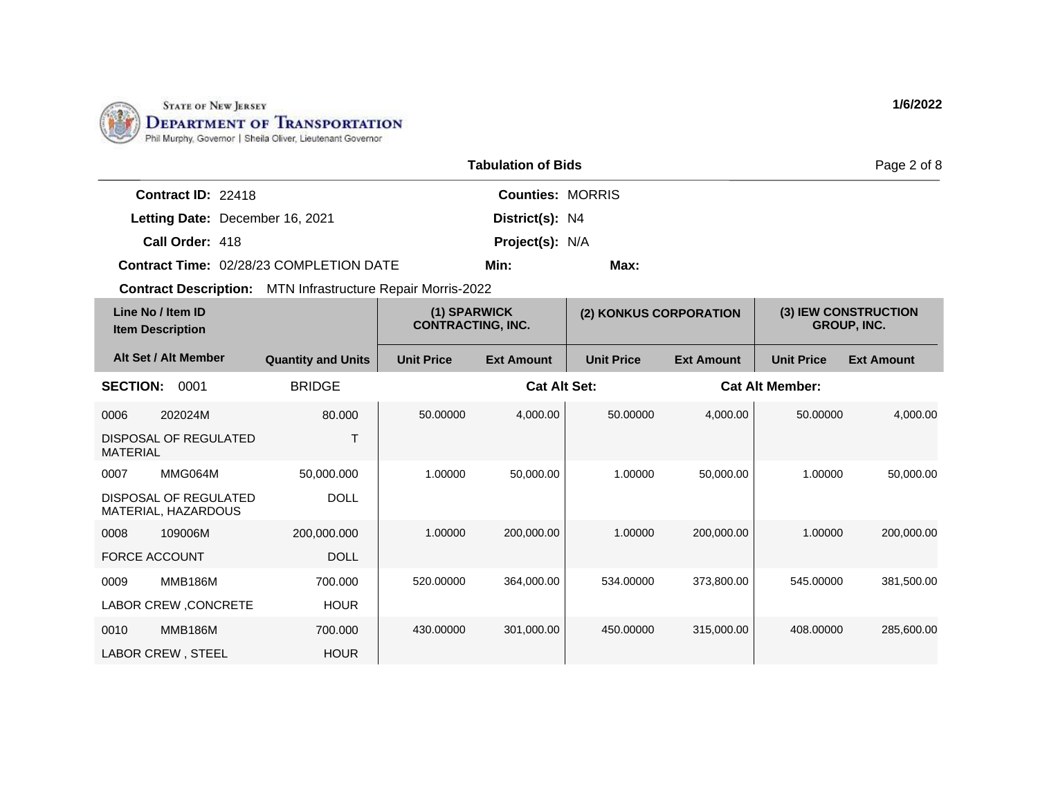

|                           |                                         | Page 2 of 8             |      |  |
|---------------------------|-----------------------------------------|-------------------------|------|--|
| <b>Contract ID: 22418</b> |                                         | <b>Counties: MORRIS</b> |      |  |
|                           | Letting Date: December 16, 2021         | District(s): N4         |      |  |
| Call Order: 418           |                                         | <b>Project(s): N/A</b>  |      |  |
|                           | Contract Time: 02/28/23 COMPLETION DATE | Min:                    | Max: |  |

| Line No / Item ID<br><b>Item Description</b> |                                              | (1) SPARWICK<br><b>CONTRACTING, INC.</b> |                   | (2) KONKUS CORPORATION |                   | (3) IEW CONSTRUCTION<br><b>GROUP, INC.</b> |                        |                   |
|----------------------------------------------|----------------------------------------------|------------------------------------------|-------------------|------------------------|-------------------|--------------------------------------------|------------------------|-------------------|
|                                              | Alt Set / Alt Member                         | <b>Quantity and Units</b>                | <b>Unit Price</b> | <b>Ext Amount</b>      | <b>Unit Price</b> | <b>Ext Amount</b>                          | <b>Unit Price</b>      | <b>Ext Amount</b> |
| <b>SECTION:</b>                              | 0001                                         | <b>BRIDGE</b>                            |                   | <b>Cat Alt Set:</b>    |                   |                                            | <b>Cat Alt Member:</b> |                   |
| 0006                                         | 202024M                                      | 80,000                                   | 50.00000          | 4,000.00               | 50.00000          | 4,000.00                                   | 50.00000               | 4,000.00          |
| <b>MATERIAL</b>                              | DISPOSAL OF REGULATED                        | T                                        |                   |                        |                   |                                            |                        |                   |
| 0007                                         | MMG064M                                      | 50,000.000                               | 1.00000           | 50,000.00              | 1.00000           | 50,000.00                                  | 1.00000                | 50,000.00         |
|                                              | DISPOSAL OF REGULATED<br>MATERIAL, HAZARDOUS | <b>DOLL</b>                              |                   |                        |                   |                                            |                        |                   |
| 0008                                         | 109006M                                      | 200,000.000                              | 1.00000           | 200,000.00             | 1.00000           | 200,000.00                                 | 1.00000                | 200,000.00        |
| <b>FORCE ACCOUNT</b>                         |                                              | <b>DOLL</b>                              |                   |                        |                   |                                            |                        |                   |
| 0009                                         | <b>MMB186M</b>                               | 700.000                                  | 520.00000         | 364,000.00             | 534.00000         | 373,800.00                                 | 545.00000              | 381,500.00        |
|                                              | LABOR CREW, CONCRETE                         | <b>HOUR</b>                              |                   |                        |                   |                                            |                        |                   |
| 0010                                         | <b>MMB186M</b>                               | 700.000                                  | 430.00000         | 301,000.00             | 450.00000         | 315,000.00                                 | 408,00000              | 285,600.00        |
| LABOR CREW, STEEL                            |                                              | <b>HOUR</b>                              |                   |                        |                   |                                            |                        |                   |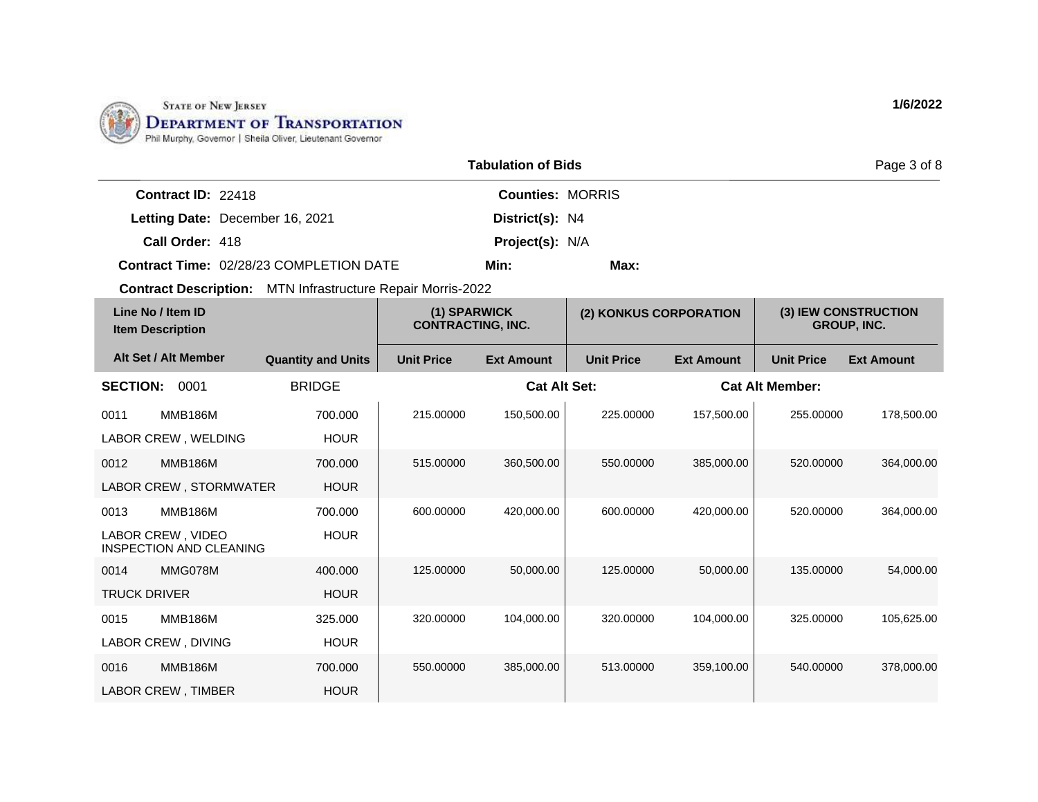

| <b>Tabulation of Bids</b><br>Page 3 of 8                       |                                       |                   |                                          |                        |                   |                                            |                   |  |
|----------------------------------------------------------------|---------------------------------------|-------------------|------------------------------------------|------------------------|-------------------|--------------------------------------------|-------------------|--|
| Contract ID: 22418                                             |                                       |                   | <b>Counties: MORRIS</b>                  |                        |                   |                                            |                   |  |
| Letting Date: December 16, 2021                                |                                       |                   | District(s): N4                          |                        |                   |                                            |                   |  |
| Call Order: 418                                                | <b>Project(s): N/A</b>                |                   |                                          |                        |                   |                                            |                   |  |
| <b>Contract Time: 02/28/23 COMPLETION DATE</b><br>Min:<br>Max: |                                       |                   |                                          |                        |                   |                                            |                   |  |
| <b>Contract Description:</b>                                   | MTN Infrastructure Repair Morris-2022 |                   |                                          |                        |                   |                                            |                   |  |
| Line No / Item ID<br><b>Item Description</b>                   |                                       |                   | (1) SPARWICK<br><b>CONTRACTING, INC.</b> | (2) KONKUS CORPORATION |                   | (3) IEW CONSTRUCTION<br><b>GROUP, INC.</b> |                   |  |
| Alt Set / Alt Member                                           | <b>Quantity and Units</b>             | <b>Unit Price</b> | <b>Ext Amount</b>                        | <b>Unit Price</b>      | <b>Ext Amount</b> | <b>Unit Price</b>                          | <b>Ext Amount</b> |  |
| <b>CECTIONI.</b> 0001                                          | <b>DDINAE</b>                         |                   | $C_{04}$ Alt $C_{04}$                    |                        |                   | Cot Alt Mamhari                            |                   |  |

| <b>SECTION:</b>     | 0001                                         | <b>BRIDGE</b> |           | <b>Cat Alt Set:</b> |           |            | <b>Cat Alt Member:</b> |            |
|---------------------|----------------------------------------------|---------------|-----------|---------------------|-----------|------------|------------------------|------------|
| 0011                | <b>MMB186M</b>                               | 700.000       | 215,00000 | 150,500.00          | 225.00000 | 157,500.00 | 255.00000              | 178,500.00 |
|                     | LABOR CREW, WELDING                          | <b>HOUR</b>   |           |                     |           |            |                        |            |
| 0012                | <b>MMB186M</b>                               | 700.000       | 515.00000 | 360,500.00          | 550.00000 | 385,000.00 | 520.00000              | 364,000.00 |
|                     | LABOR CREW, STORMWATER                       | <b>HOUR</b>   |           |                     |           |            |                        |            |
| 0013                | <b>MMB186M</b>                               | 700.000       | 600.00000 | 420,000.00          | 600.00000 | 420,000.00 | 520.00000              | 364,000.00 |
|                     | LABOR CREW, VIDEO<br>INSPECTION AND CLEANING | <b>HOUR</b>   |           |                     |           |            |                        |            |
| 0014                | MMG078M                                      | 400.000       | 125,00000 | 50,000.00           | 125,00000 | 50,000.00  | 135.00000              | 54,000.00  |
| <b>TRUCK DRIVER</b> |                                              | <b>HOUR</b>   |           |                     |           |            |                        |            |
| 0015                | <b>MMB186M</b>                               | 325,000       | 320.00000 | 104,000.00          | 320.00000 | 104,000.00 | 325.00000              | 105,625.00 |
|                     | LABOR CREW, DIVING                           | <b>HOUR</b>   |           |                     |           |            |                        |            |
| 0016                | <b>MMB186M</b>                               | 700,000       | 550.00000 | 385,000.00          | 513,00000 | 359,100.00 | 540,00000              | 378,000.00 |
|                     | LABOR CREW, TIMBER                           | <b>HOUR</b>   |           |                     |           |            |                        |            |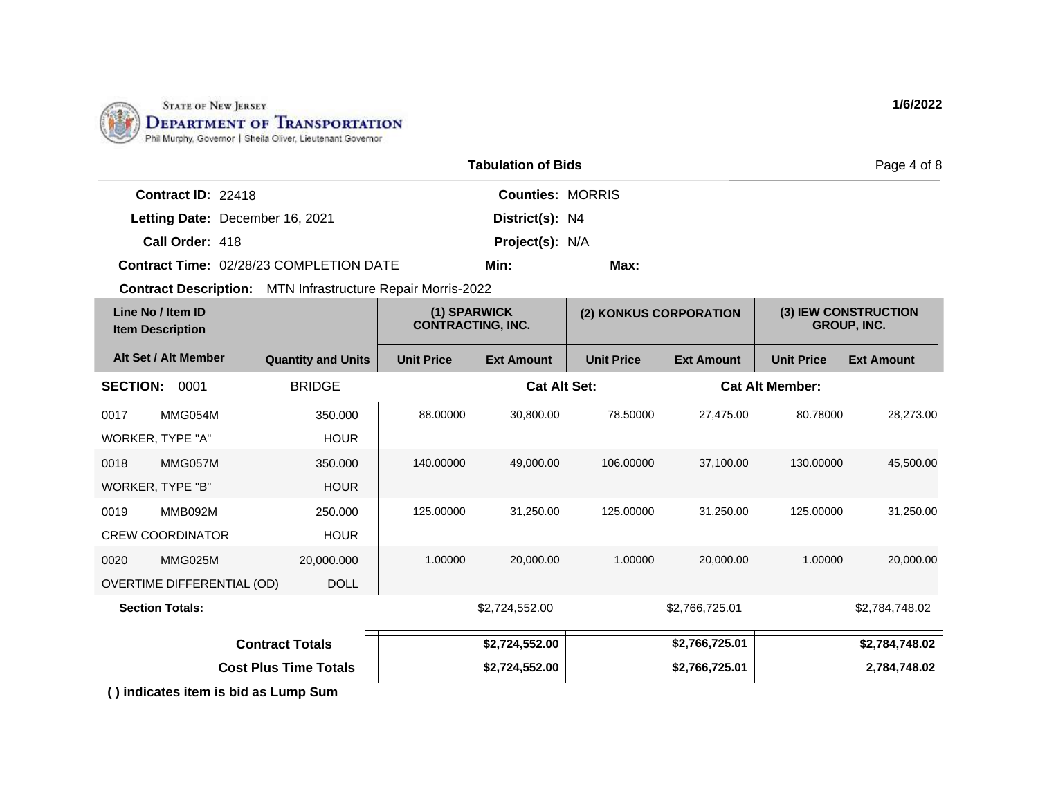

|                           |                                                | Page 4 of 8             |      |  |
|---------------------------|------------------------------------------------|-------------------------|------|--|
| <b>Contract ID: 22418</b> |                                                | <b>Counties: MORRIS</b> |      |  |
|                           | Letting Date: December 16, 2021                | District(s): N4         |      |  |
| Call Order: 418           |                                                | <b>Project(s): N/A</b>  |      |  |
|                           | <b>Contract Time: 02/28/23 COMPLETION DATE</b> | Min:                    | Max: |  |

| Line No / Item ID<br><b>Item Description</b> |                                      | (1) SPARWICK<br><b>CONTRACTING, INC.</b> |                   | (2) KONKUS CORPORATION |                   | (3) IEW CONSTRUCTION<br><b>GROUP, INC.</b> |                        |                   |
|----------------------------------------------|--------------------------------------|------------------------------------------|-------------------|------------------------|-------------------|--------------------------------------------|------------------------|-------------------|
|                                              | Alt Set / Alt Member                 | <b>Quantity and Units</b>                | <b>Unit Price</b> | <b>Ext Amount</b>      | <b>Unit Price</b> | <b>Ext Amount</b>                          | <b>Unit Price</b>      | <b>Ext Amount</b> |
| <b>SECTION:</b>                              | 0001                                 | <b>BRIDGE</b>                            |                   | <b>Cat Alt Set:</b>    |                   |                                            | <b>Cat Alt Member:</b> |                   |
| 0017                                         | MMG054M                              | 350.000                                  | 88.00000          | 30,800.00              | 78.50000          | 27,475.00                                  | 80.78000               | 28,273.00         |
| WORKER, TYPE "A"                             |                                      | <b>HOUR</b>                              |                   |                        |                   |                                            |                        |                   |
| 0018                                         | MMG057M                              | 350,000                                  | 140.00000         | 49,000.00              | 106.00000         | 37,100.00                                  | 130.00000              | 45,500.00         |
| WORKER, TYPE "B"                             |                                      | <b>HOUR</b>                              |                   |                        |                   |                                            |                        |                   |
| 0019                                         | MMB092M                              | 250.000                                  | 125.00000         | 31,250.00              | 125.00000         | 31,250.00                                  | 125.00000              | 31,250.00         |
|                                              | <b>CREW COORDINATOR</b>              | <b>HOUR</b>                              |                   |                        |                   |                                            |                        |                   |
| 0020                                         | MMG025M                              | 20,000.000                               | 1.00000           | 20,000.00              | 1.00000           | 20,000.00                                  | 1.00000                | 20,000.00         |
|                                              | OVERTIME DIFFERENTIAL (OD)           | <b>DOLL</b>                              |                   |                        |                   |                                            |                        |                   |
|                                              | <b>Section Totals:</b>               |                                          |                   | \$2,724,552.00         |                   | \$2,766,725.01                             |                        | \$2,784,748.02    |
| <b>Contract Totals</b>                       |                                      |                                          | \$2,724,552.00    |                        | \$2,766,725.01    |                                            | \$2,784,748.02         |                   |
| <b>Cost Plus Time Totals</b>                 |                                      |                                          | \$2,724,552.00    |                        | \$2,766,725.01    |                                            | 2,784,748.02           |                   |
|                                              | () indicates item is bid as Lump Sum |                                          |                   |                        |                   |                                            |                        |                   |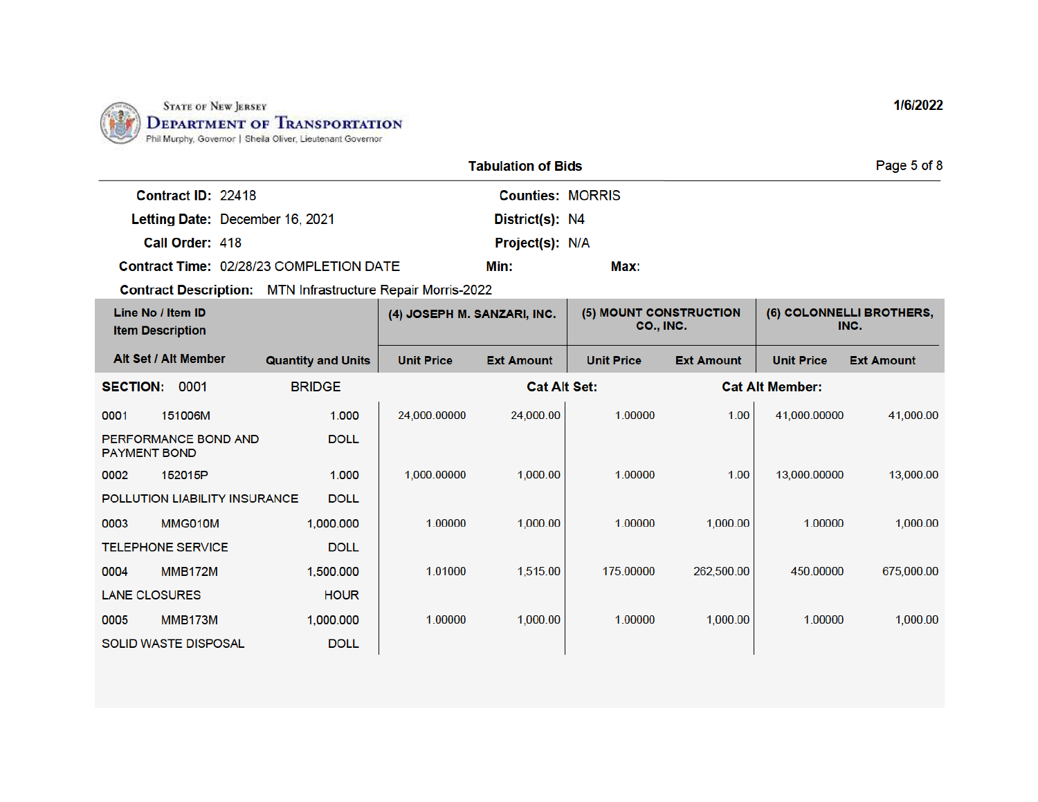

|                                                | <b>Tabulation of Bids</b> |      | Page 5 of 8 |
|------------------------------------------------|---------------------------|------|-------------|
| Contract ID: 22418                             | <b>Counties: MORRIS</b>   |      |             |
| Letting Date: December 16, 2021                | District(s): N4           |      |             |
| Call Order: 418                                | <b>Project(s): N/A</b>    |      |             |
| <b>Contract Time: 02/28/23 COMPLETION DATE</b> | Min:                      | Max: |             |

| Line No / Item ID<br><b>Item Description</b> |                               | (4) JOSEPH M. SANZARI, INC. |                   | (5) MOUNT CONSTRUCTION<br>CO., INC. |                   | (6) COLONNELLI BROTHERS,<br>INC. |                        |                   |
|----------------------------------------------|-------------------------------|-----------------------------|-------------------|-------------------------------------|-------------------|----------------------------------|------------------------|-------------------|
|                                              | Alt Set / Alt Member          | <b>Quantity and Units</b>   | <b>Unit Price</b> | <b>Ext Amount</b>                   | <b>Unit Price</b> | <b>Ext Amount</b>                | <b>Unit Price</b>      | <b>Ext Amount</b> |
| <b>SECTION:</b>                              | 0001                          | <b>BRIDGE</b>               |                   | <b>Cat Alt Set:</b>                 |                   |                                  | <b>Cat Alt Member:</b> |                   |
| 0001                                         | 151006M                       | 1.000                       | 24,000.00000      | 24,000.00                           | 1.00000           | 1.00                             | 41,000.00000           | 41,000.00         |
| <b>PAYMENT BOND</b>                          | PERFORMANCE BOND AND          | <b>DOLL</b>                 |                   |                                     |                   |                                  |                        |                   |
| 0002                                         | 152015P                       | 1.000                       | 1,000.00000       | 1,000.00                            | 1.00000           | 1.00                             | 13,000.00000           | 13,000.00         |
|                                              | POLLUTION LIABILITY INSURANCE | <b>DOLL</b>                 |                   |                                     |                   |                                  |                        |                   |
| 0003                                         | MMG010M                       | 1,000.000                   | 1.00000           | 1,000.00                            | 1.00000           | 1,000.00                         | 1.00000                | 1,000.00          |
|                                              | <b>TELEPHONE SERVICE</b>      | <b>DOLL</b>                 |                   |                                     |                   |                                  |                        |                   |
| 0004                                         | <b>MMB172M</b>                | 1,500.000                   | 1.01000           | 1,515.00                            | 175.00000         | 262,500.00                       | 450.00000              | 675,000.00        |
| <b>LANE CLOSURES</b>                         |                               | <b>HOUR</b>                 |                   |                                     |                   |                                  |                        |                   |
| 0005                                         | <b>MMB173M</b>                | 1,000.000                   | 1.00000           | 1,000.00                            | 1.00000           | 1,000.00                         | 1.00000                | 1,000.00          |
|                                              | <b>SOLID WASTE DISPOSAL</b>   | <b>DOLL</b>                 |                   |                                     |                   |                                  |                        |                   |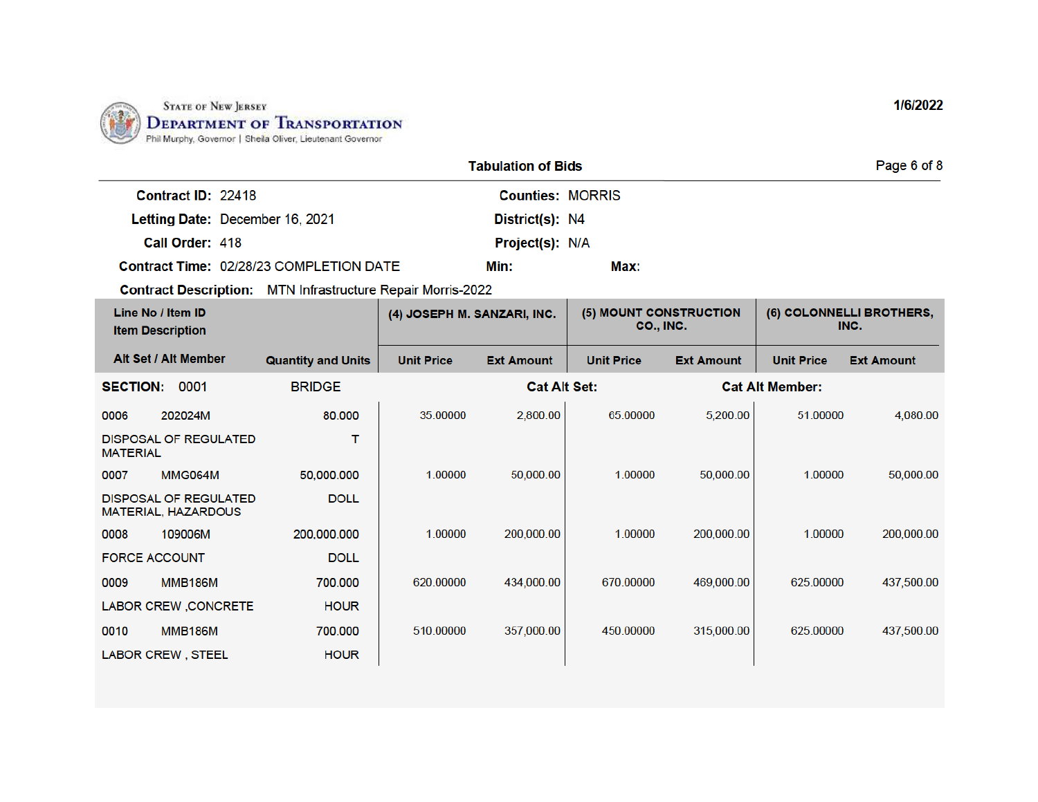

|                                         | <b>Tabulation of Bids</b> |      |  |  |  |
|-----------------------------------------|---------------------------|------|--|--|--|
| Contract ID: 22418                      | <b>Counties: MORRIS</b>   |      |  |  |  |
| Letting Date: December 16, 2021         | District(s): N4           |      |  |  |  |
| Call Order: 418                         | <b>Project(s): N/A</b>    |      |  |  |  |
| Contract Time: 02/28/23 COMPLETION DATE | Min:                      | Max: |  |  |  |

| Line No / Item ID<br><b>Item Description</b> |                                                            | (4) JOSEPH M. SANZARI, INC. |                   | (5) MOUNT CONSTRUCTION<br>CO., INC. |                   | (6) COLONNELLI BROTHERS,<br>INC. |                        |                   |
|----------------------------------------------|------------------------------------------------------------|-----------------------------|-------------------|-------------------------------------|-------------------|----------------------------------|------------------------|-------------------|
|                                              | Alt Set / Alt Member                                       | <b>Quantity and Units</b>   | <b>Unit Price</b> | <b>Ext Amount</b>                   | <b>Unit Price</b> | <b>Ext Amount</b>                | <b>Unit Price</b>      | <b>Ext Amount</b> |
| <b>SECTION:</b>                              | 0001                                                       | <b>BRIDGE</b>               |                   | <b>Cat Alt Set:</b>                 |                   |                                  | <b>Cat Alt Member:</b> |                   |
| 0006                                         | 202024M                                                    | 80,000                      | 35.00000          | 2,800.00                            | 65.00000          | 5,200.00                         | 51.00000               | 4,080.00          |
| <b>MATERIAL</b>                              | <b>DISPOSAL OF REGULATED</b>                               | т                           |                   |                                     |                   |                                  |                        |                   |
| 0007                                         | <b>MMG064M</b>                                             | 50,000.000                  | 1.00000           | 50,000.00                           | 1.00000           | 50,000.00                        | 1.00000                | 50,000.00         |
|                                              | <b>DISPOSAL OF REGULATED</b><br><b>MATERIAL, HAZARDOUS</b> | <b>DOLL</b>                 |                   |                                     |                   |                                  |                        |                   |
| 0008                                         | 109006M                                                    | 200,000.000                 | 1.00000           | 200,000.00                          | 1.00000           | 200,000.00                       | 1.00000                | 200,000.00        |
| <b>FORCE ACCOUNT</b>                         |                                                            | <b>DOLL</b>                 |                   |                                     |                   |                                  |                        |                   |
| 0009                                         | <b>MMB186M</b>                                             | 700,000                     | 620.00000         | 434,000.00                          | 670.00000         | 469,000.00                       | 625.00000              | 437,500.00        |
|                                              | LABOR CREW, CONCRETE                                       | <b>HOUR</b>                 |                   |                                     |                   |                                  |                        |                   |
| 0010                                         | <b>MMB186M</b>                                             | 700.000                     | 510.00000         | 357,000.00                          | 450.00000         | 315,000.00                       | 625.00000              | 437,500.00        |
|                                              | <b>LABOR CREW, STEEL</b>                                   | <b>HOUR</b>                 |                   |                                     |                   |                                  |                        |                   |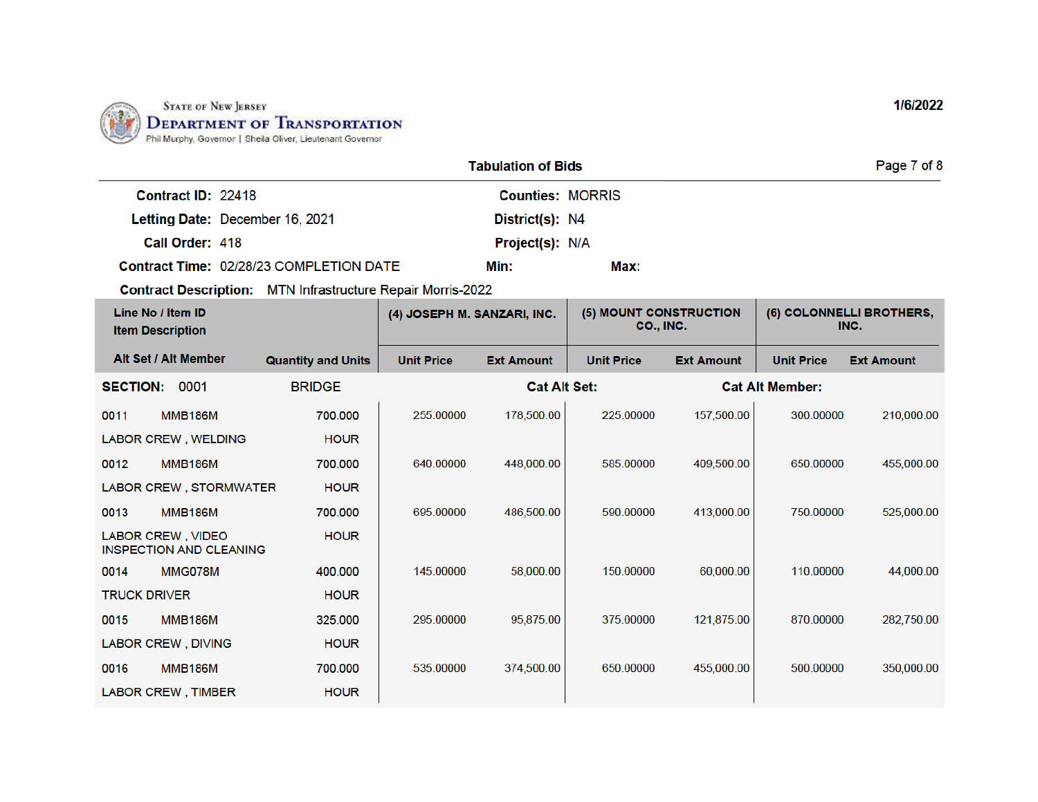

|                    |                                                | Page 7 of 8             |      |  |
|--------------------|------------------------------------------------|-------------------------|------|--|
| Contract ID: 22418 |                                                | <b>Counties: MORRIS</b> |      |  |
|                    | Letting Date: December 16, 2021                | District(s): N4         |      |  |
| Call Order: 418    |                                                | <b>Project(s): N/A</b>  |      |  |
|                    | <b>Contract Time: 02/28/23 COMPLETION DATE</b> | Min:                    | Max: |  |

| Line No / Item ID<br><b>Item Description</b>        |                           | (4) JOSEPH M. SANZARI, INC. |                     | (5) MOUNT CONSTRUCTION<br><b>CO., INC.</b> |                   | (6) COLONNELLI BROTHERS,<br>INC. |                   |
|-----------------------------------------------------|---------------------------|-----------------------------|---------------------|--------------------------------------------|-------------------|----------------------------------|-------------------|
| Alt Set / Alt Member                                | <b>Quantity and Units</b> | <b>Unit Price</b>           | <b>Ext Amount</b>   | <b>Unit Price</b>                          | <b>Ext Amount</b> | <b>Unit Price</b>                | <b>Ext Amount</b> |
| 0001<br><b>SECTION:</b>                             | <b>BRIDGE</b>             |                             | <b>Cat Alt Set:</b> |                                            |                   | <b>Cat Alt Member:</b>           |                   |
| 0011<br><b>MMB186M</b>                              | 700.000                   | 255.00000                   | 178,500.00          | 225.00000                                  | 157,500.00        | 300.00000                        | 210,000.00        |
| <b>LABOR CREW, WELDING</b>                          | <b>HOUR</b>               |                             |                     |                                            |                   |                                  |                   |
| <b>MMB186M</b><br>0012                              | 700.000                   | 640.00000                   | 448,000.00          | 585.00000                                  | 409,500.00        | 650.00000                        | 455,000.00        |
| LABOR CREW, STORMWATER                              | <b>HOUR</b>               |                             |                     |                                            |                   |                                  |                   |
| 0013<br><b>MMB186M</b>                              | 700.000                   | 695,00000                   | 486,500.00          | 590,00000                                  | 413,000.00        | 750,00000                        | 525,000.00        |
| LABOR CREW, VIDEO<br><b>INSPECTION AND CLEANING</b> | <b>HOUR</b>               |                             |                     |                                            |                   |                                  |                   |
| MMG078M<br>0014                                     | 400,000                   | 145,00000                   | 58,000.00           | 150,00000                                  | 60,000.00         | 110.00000                        | 44,000.00         |
| <b>TRUCK DRIVER</b>                                 | <b>HOUR</b>               |                             |                     |                                            |                   |                                  |                   |
| 0015<br><b>MMB186M</b>                              | 325.000                   | 295.00000                   | 95,875.00           | 375.00000                                  | 121,875.00        | 870.00000                        | 282,750.00        |
| <b>LABOR CREW, DIVING</b>                           | <b>HOUR</b>               |                             |                     |                                            |                   |                                  |                   |
| <b>MMB186M</b><br>0016                              | 700.000                   | 535.00000                   | 374.500.00          | 650.00000                                  | 455,000.00        | 500.00000                        | 350,000.00        |
| <b>LABOR CREW, TIMBER</b>                           | <b>HOUR</b>               |                             |                     |                                            |                   |                                  |                   |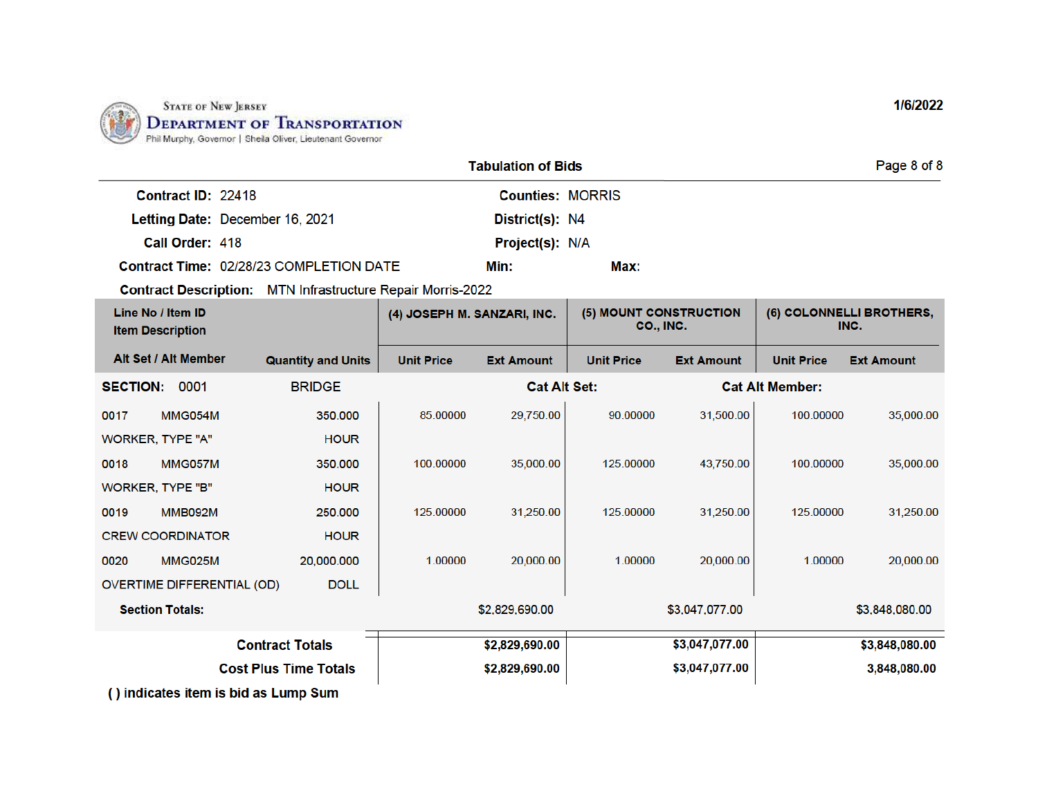

|                    |                                         | Page 8 of 8             |      |  |
|--------------------|-----------------------------------------|-------------------------|------|--|
| Contract ID: 22418 |                                         | <b>Counties: MORRIS</b> |      |  |
|                    | Letting Date: December 16, 2021         | District(s): N4         |      |  |
| Call Order: 418    |                                         | <b>Project(s): N/A</b>  |      |  |
|                    | Contract Time: 02/28/23 COMPLETION DATE | Min:                    | Max: |  |

| Line No / Item ID<br><b>Item Description</b> |                                      | (4) JOSEPH M. SANZARI, INC.  |                   | (5) MOUNT CONSTRUCTION<br><b>CO., INC.</b> |                   | (6) COLONNELLI BROTHERS,<br>INC. |                        |                   |
|----------------------------------------------|--------------------------------------|------------------------------|-------------------|--------------------------------------------|-------------------|----------------------------------|------------------------|-------------------|
|                                              | Alt Set / Alt Member                 | <b>Quantity and Units</b>    | <b>Unit Price</b> | <b>Ext Amount</b>                          | <b>Unit Price</b> | <b>Ext Amount</b>                | <b>Unit Price</b>      | <b>Ext Amount</b> |
| <b>SECTION:</b>                              | 0001                                 | <b>BRIDGE</b>                |                   | <b>Cat Alt Set:</b>                        |                   |                                  | <b>Cat Alt Member:</b> |                   |
| 0017                                         | <b>MMG054M</b>                       | 350.000                      | 85.00000          | 29,750.00                                  | 90.00000          | 31,500.00                        | 100.00000              | 35,000.00         |
| WORKER, TYPE "A"                             |                                      | <b>HOUR</b>                  |                   |                                            |                   |                                  |                        |                   |
| 0018                                         | <b>MMG057M</b>                       | 350.000                      | 100.00000         | 35,000.00                                  | 125.00000         | 43.750.00                        | 100.00000              | 35,000.00         |
| <b>WORKER, TYPE "B"</b>                      |                                      | <b>HOUR</b>                  |                   |                                            |                   |                                  |                        |                   |
| 0019                                         | <b>MMB092M</b>                       | 250.000                      | 125.00000         | 31,250.00                                  | 125,00000         | 31,250.00                        | 125.00000              | 31,250.00         |
|                                              | <b>CREW COORDINATOR</b>              | <b>HOUR</b>                  |                   |                                            |                   |                                  |                        |                   |
| 0020                                         | <b>MMG025M</b>                       | 20,000.000                   | 1.00000           | 20,000.00                                  | 1.00000           | 20,000.00                        | 1.00000                | 20,000.00         |
| OVERTIME DIFFERENTIAL (OD)<br><b>DOLL</b>    |                                      |                              |                   |                                            |                   |                                  |                        |                   |
|                                              | <b>Section Totals:</b>               |                              |                   | \$2,829,690.00                             |                   | \$3,047,077.00                   |                        | \$3,848,080.00    |
|                                              |                                      | <b>Contract Totals</b>       |                   | \$2,829,690.00                             |                   | \$3,047,077.00                   |                        | \$3,848,080.00    |
|                                              |                                      | <b>Cost Plus Time Totals</b> |                   | \$2,829,690.00                             |                   | \$3,047,077.00                   |                        | 3,848,080.00      |
|                                              | () indicates item is bid as Lump Sum |                              |                   |                                            |                   |                                  |                        |                   |